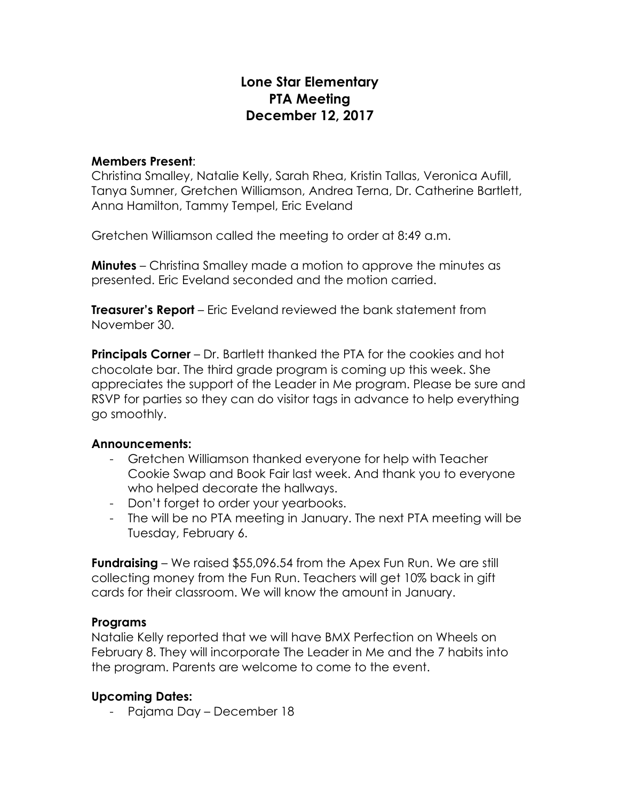# **Lone Star Elementary PTA Meeting December 12, 2017**

#### **Members Present**:

Christina Smalley, Natalie Kelly, Sarah Rhea, Kristin Tallas, Veronica Aufill, Tanya Sumner, Gretchen Williamson, Andrea Terna, Dr. Catherine Bartlett, Anna Hamilton, Tammy Tempel, Eric Eveland

Gretchen Williamson called the meeting to order at 8:49 a.m.

**Minutes** – Christina Smalley made a motion to approve the minutes as presented. Eric Eveland seconded and the motion carried.

**Treasurer's Report** – Eric Eveland reviewed the bank statement from November 30.

**Principals Corner** – Dr. Bartlett thanked the PTA for the cookies and hot chocolate bar. The third grade program is coming up this week. She appreciates the support of the Leader in Me program. Please be sure and RSVP for parties so they can do visitor tags in advance to help everything go smoothly.

### **Announcements:**

- Gretchen Williamson thanked everyone for help with Teacher Cookie Swap and Book Fair last week. And thank you to everyone who helped decorate the hallways.
- Don't forget to order your yearbooks.
- The will be no PTA meeting in January. The next PTA meeting will be Tuesday, February 6.

**Fundraising** – We raised \$55,096.54 from the Apex Fun Run. We are still collecting money from the Fun Run. Teachers will get 10% back in gift cards for their classroom. We will know the amount in January.

#### **Programs**

Natalie Kelly reported that we will have BMX Perfection on Wheels on February 8. They will incorporate The Leader in Me and the 7 habits into the program. Parents are welcome to come to the event.

## **Upcoming Dates:**

- Pajama Day – December 18